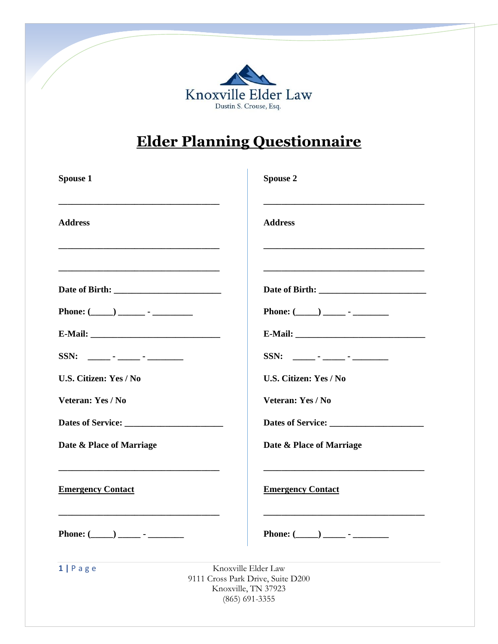

# **Elder Planning Questionnaire**

| Spouse 1                                                    | <b>Spouse 2</b>                                                                                                       |
|-------------------------------------------------------------|-----------------------------------------------------------------------------------------------------------------------|
| <b>Address</b>                                              | <b>Address</b>                                                                                                        |
| <u> 1989 - Johann Stoff, amerikansk politiker (d. 1989)</u> | <u> 1989 - Johann Harry Harry Harry Harry Harry Harry Harry Harry Harry Harry Harry Harry Harry Harry Harry Harry</u> |
|                                                             |                                                                                                                       |
|                                                             | Phone: $(\_\_)$ $\_\_$ - $\_\_$                                                                                       |
|                                                             |                                                                                                                       |
|                                                             | $SSN:$ ______ - _____ - _______ -                                                                                     |
| <b>U.S. Citizen: Yes / No</b>                               | U.S. Citizen: Yes / No                                                                                                |
| Veteran: Yes / No                                           | Veteran: Yes / No                                                                                                     |
|                                                             |                                                                                                                       |
| Date & Place of Marriage                                    | Date & Place of Marriage                                                                                              |
| <b>Emergency Contact</b>                                    | <b>Emergency Contact</b>                                                                                              |
| Phone: (<br><b>Sales Street</b>                             | <u> 1980 - Johann Stoff, amerikansk politik (d. 1980)</u><br>Phone: (<br><b>Contract Contract</b>                     |
| $1   P \nexists g e$                                        | Knoxville Elder Law<br>9111 Cross Park Drive, Suite D200<br>Knoxville, TN 37923<br>$(865)$ 691-3355                   |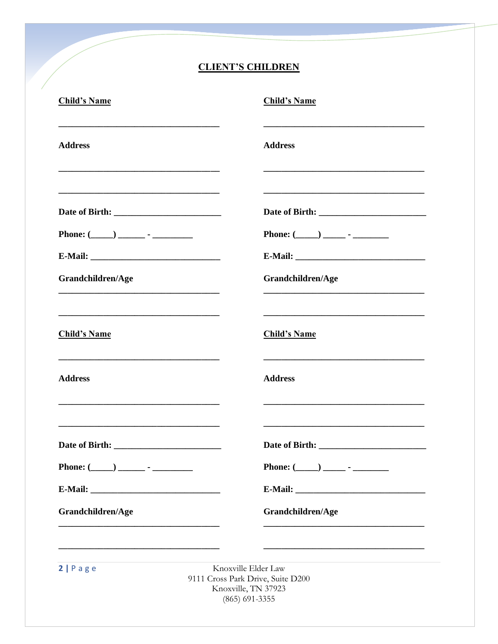# **CLIENT'S CHILDREN**

| <b>Child's Name</b> | <b>Child's Name</b>                                                                                                                                                                                                                            |
|---------------------|------------------------------------------------------------------------------------------------------------------------------------------------------------------------------------------------------------------------------------------------|
| <b>Address</b>      | <b>Address</b>                                                                                                                                                                                                                                 |
|                     | <u> 1980 - Johann Barbara, martin da basar da basar da basar da basar da basar da basar da basar da basar da basa</u><br><u> 1989 - Johann Stoff, deutscher Stoff, der Stoff, der Stoff, der Stoff, der Stoff, der Stoff, der Stoff, der S</u> |
|                     |                                                                                                                                                                                                                                                |
|                     | Phone: $(\_\_)$ $\_\_$ - $\_\_$                                                                                                                                                                                                                |
|                     |                                                                                                                                                                                                                                                |
| Grandchildren/Age   | Grandchildren/Age                                                                                                                                                                                                                              |
|                     |                                                                                                                                                                                                                                                |
| <b>Child's Name</b> | <b>Child's Name</b>                                                                                                                                                                                                                            |
| <b>Address</b>      | <b>Address</b><br><u> 1980 - Jan Barbara, martxa al II-lea (h. 1980).</u>                                                                                                                                                                      |
|                     |                                                                                                                                                                                                                                                |
|                     | Phone: $(\_\_)$ $\_\_$ - $\_\_$                                                                                                                                                                                                                |
|                     |                                                                                                                                                                                                                                                |
| Grandchildren/Age   | Grandchildren/Age                                                                                                                                                                                                                              |
|                     |                                                                                                                                                                                                                                                |
| 2 Page              | Knoxville Elder Law<br>9111 Cross Park Drive, Suite D200<br>Knoxville, TN 37923<br>$(865)$ 691-3355                                                                                                                                            |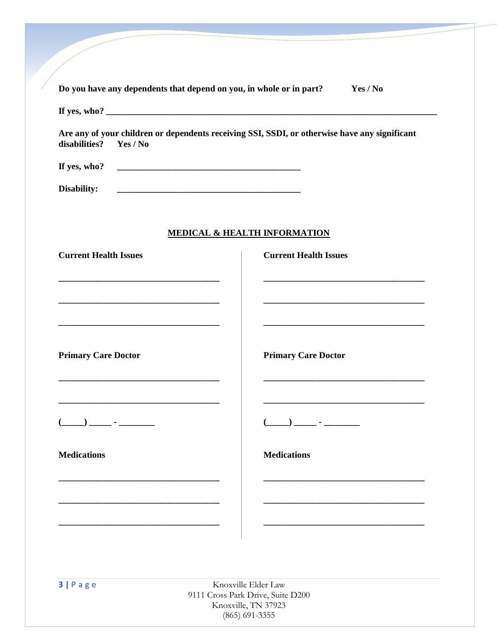| disabilities?<br>Yes / No                                                                                             | Are any of your children or dependents receiving SSI, SSDI, or otherwise have any significant                                 |
|-----------------------------------------------------------------------------------------------------------------------|-------------------------------------------------------------------------------------------------------------------------------|
| If yes, who?                                                                                                          |                                                                                                                               |
| Disability:                                                                                                           |                                                                                                                               |
|                                                                                                                       |                                                                                                                               |
|                                                                                                                       | MEDICAL & HEALTH INFORMATION                                                                                                  |
| <b>Current Health Issues</b>                                                                                          | <b>Current Health Issues</b>                                                                                                  |
| <u> 1989 - Johann Stoff, amerikansk politiker (d. 1989)</u>                                                           | <u> 1989 - Johann John Stone, mars et al. 1989 - John Stone, mars et al. 1989 - John Stone, mars et al. 1989 - John Stone</u> |
|                                                                                                                       | <u> 1989 - Johann Stoff, amerikansk politiker (d. 1989)</u>                                                                   |
|                                                                                                                       |                                                                                                                               |
|                                                                                                                       |                                                                                                                               |
| <b>Primary Care Doctor</b>                                                                                            | <b>Primary Care Doctor</b>                                                                                                    |
| <u> 1989 - Johann Stoff, deutscher Stoff, der Stoff, der Stoff, der Stoff, der Stoff, der Stoff, der Stoff, der S</u> | <u> 1989 - Johann John Stone, markin film yn y brenin y brenin y brenin y brenin y brenin y brenin y brenin y br</u>          |
|                                                                                                                       | <u> 1989 - Johann Barbara, martxa al III-lea (h. 1989).</u>                                                                   |
| __) _____ - _______                                                                                                   |                                                                                                                               |
| <b>Medications</b>                                                                                                    | <b>Medications</b>                                                                                                            |
|                                                                                                                       |                                                                                                                               |
|                                                                                                                       |                                                                                                                               |
|                                                                                                                       |                                                                                                                               |
|                                                                                                                       |                                                                                                                               |

**3** | **P** a g e Knoxville Elder Law 9111 Cross Park Drive, Suite D200 Knoxville, TN 37923 (865) 691-3355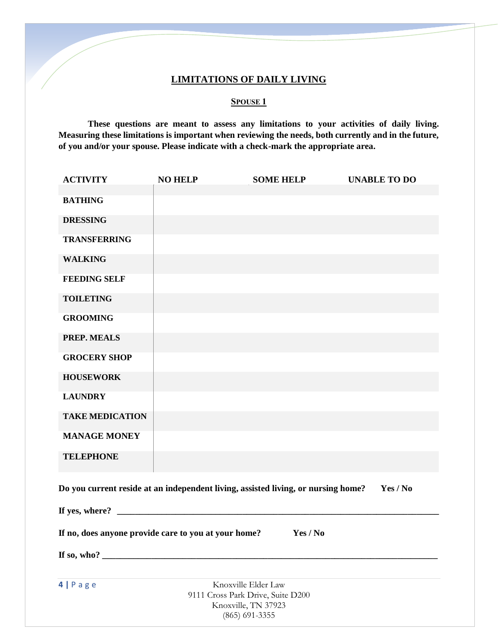### **LIMITATIONS OF DAILY LIVING**

### **SPOUSE 1**

**These questions are meant to assess any limitations to your activities of daily living. Measuring these limitations is important when reviewing the needs, both currently and in the future, of you and/or your spouse. Please indicate with a check-mark the appropriate area.** 

| <b>ACTIVITY</b>                                                                               | <b>NO HELP</b> | <b>SOME HELP</b>                                         | <b>UNABLE TO DO</b> |  |
|-----------------------------------------------------------------------------------------------|----------------|----------------------------------------------------------|---------------------|--|
| <b>BATHING</b>                                                                                |                |                                                          |                     |  |
|                                                                                               |                |                                                          |                     |  |
| <b>DRESSING</b>                                                                               |                |                                                          |                     |  |
| <b>TRANSFERRING</b>                                                                           |                |                                                          |                     |  |
| <b>WALKING</b>                                                                                |                |                                                          |                     |  |
| <b>FEEDING SELF</b>                                                                           |                |                                                          |                     |  |
| <b>TOILETING</b>                                                                              |                |                                                          |                     |  |
| <b>GROOMING</b>                                                                               |                |                                                          |                     |  |
|                                                                                               |                |                                                          |                     |  |
| <b>PREP. MEALS</b>                                                                            |                |                                                          |                     |  |
| <b>GROCERY SHOP</b>                                                                           |                |                                                          |                     |  |
| <b>HOUSEWORK</b>                                                                              |                |                                                          |                     |  |
| <b>LAUNDRY</b>                                                                                |                |                                                          |                     |  |
| <b>TAKE MEDICATION</b>                                                                        |                |                                                          |                     |  |
| <b>MANAGE MONEY</b>                                                                           |                |                                                          |                     |  |
| <b>TELEPHONE</b>                                                                              |                |                                                          |                     |  |
| Do you current reside at an independent living, assisted living, or nursing home?<br>Yes / No |                |                                                          |                     |  |
|                                                                                               |                |                                                          |                     |  |
| If no, does anyone provide care to you at your home?<br>Yes / No                              |                |                                                          |                     |  |
| If so, who?                                                                                   |                |                                                          |                     |  |
|                                                                                               |                |                                                          |                     |  |
| $4   P \text{ a } g \text{ e}$                                                                |                | Knoxville Elder Law<br>9111 Cross Park Drive, Suite D200 |                     |  |
|                                                                                               |                | Knoxville, TN 37923                                      |                     |  |
|                                                                                               |                | $(865)$ 691-3355                                         |                     |  |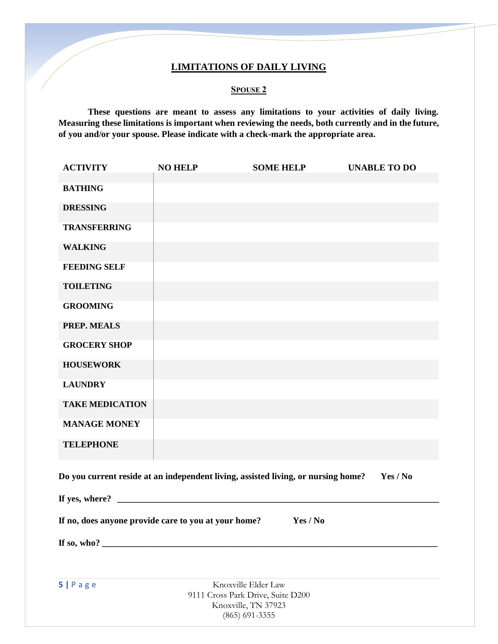### **LIMITATIONS OF DAILY LIVING**

### **SPOUSE 2**

**These questions are meant to assess any limitations to your activities of daily living. Measuring these limitations is important when reviewing the needs, both currently and in the future, of you and/or your spouse. Please indicate with a check-mark the appropriate area.** 

| <b>ACTIVITY</b>        | <b>NO HELP</b>                                                | <b>SOME HELP</b>                                                                  | <b>UNABLE TO DO</b> |  |
|------------------------|---------------------------------------------------------------|-----------------------------------------------------------------------------------|---------------------|--|
| <b>BATHING</b>         |                                                               |                                                                                   |                     |  |
| <b>DRESSING</b>        |                                                               |                                                                                   |                     |  |
| <b>TRANSFERRING</b>    |                                                               |                                                                                   |                     |  |
| <b>WALKING</b>         |                                                               |                                                                                   |                     |  |
| <b>FEEDING SELF</b>    |                                                               |                                                                                   |                     |  |
| <b>TOILETING</b>       |                                                               |                                                                                   |                     |  |
| <b>GROOMING</b>        |                                                               |                                                                                   |                     |  |
| <b>PREP. MEALS</b>     |                                                               |                                                                                   |                     |  |
| <b>GROCERY SHOP</b>    |                                                               |                                                                                   |                     |  |
| <b>HOUSEWORK</b>       |                                                               |                                                                                   |                     |  |
| <b>LAUNDRY</b>         |                                                               |                                                                                   |                     |  |
| <b>TAKE MEDICATION</b> |                                                               |                                                                                   |                     |  |
| <b>MANAGE MONEY</b>    |                                                               |                                                                                   |                     |  |
| <b>TELEPHONE</b>       |                                                               |                                                                                   |                     |  |
|                        |                                                               | Do you current reside at an independent living, assisted living, or nursing home? | Yes / No            |  |
|                        | If yes, where? $\qquad \qquad$                                |                                                                                   |                     |  |
|                        | If no, does anyone provide care to you at your home? Yes / No |                                                                                   |                     |  |
|                        |                                                               |                                                                                   |                     |  |
|                        |                                                               |                                                                                   |                     |  |
| 5 Page                 |                                                               | Knoxville Elder Law                                                               |                     |  |
|                        | 9111 Cross Park Drive, Suite D200<br>Knoxville, TN 37923      |                                                                                   |                     |  |
| $(865)$ 691-3355       |                                                               |                                                                                   |                     |  |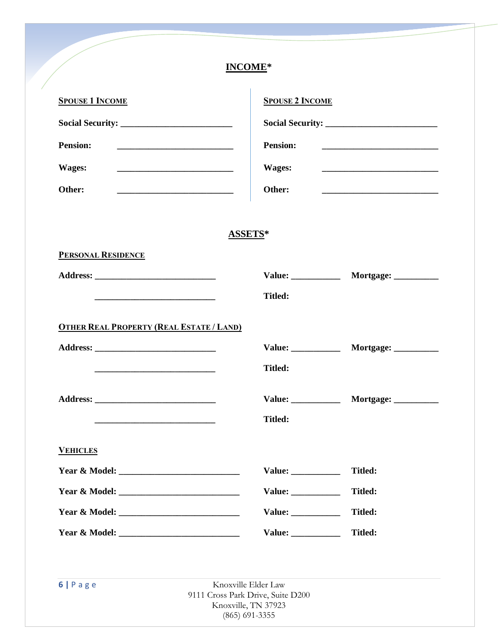# **INCOME\***

| <b>SPOUSE 1 INCOME</b>                                                                                                                    |                                                         | <b>SPOUSE 2 INCOME</b><br><b>Pension:</b>   |  |  |
|-------------------------------------------------------------------------------------------------------------------------------------------|---------------------------------------------------------|---------------------------------------------|--|--|
|                                                                                                                                           |                                                         |                                             |  |  |
| <b>Pension:</b><br><u> 1999 - Johann John Harry Harry Harry Harry Harry Harry Harry Harry Harry Harry Harry Harry Harry Harry Harry H</u> |                                                         |                                             |  |  |
| Wages:                                                                                                                                    | Wages:                                                  |                                             |  |  |
| Other:                                                                                                                                    | Other:                                                  |                                             |  |  |
|                                                                                                                                           |                                                         |                                             |  |  |
|                                                                                                                                           | ASSETS*                                                 |                                             |  |  |
| <b>PERSONAL RESIDENCE</b>                                                                                                                 |                                                         |                                             |  |  |
|                                                                                                                                           |                                                         | Value: _____________ Mortgage: _________    |  |  |
|                                                                                                                                           |                                                         |                                             |  |  |
|                                                                                                                                           | <b>Titled:</b>                                          |                                             |  |  |
| <b>OTHER REAL PROPERTY (REAL ESTATE / LAND)</b>                                                                                           |                                                         |                                             |  |  |
|                                                                                                                                           |                                                         | Value: _____________ Mortgage: _________    |  |  |
|                                                                                                                                           | <b>Titled:</b>                                          |                                             |  |  |
|                                                                                                                                           |                                                         |                                             |  |  |
|                                                                                                                                           | <b>Titled:</b>                                          | Value: _______________ Mortgage: __________ |  |  |
|                                                                                                                                           |                                                         |                                             |  |  |
| <b>VEHICLES</b>                                                                                                                           |                                                         |                                             |  |  |
|                                                                                                                                           | Value:                                                  | <b>Titled:</b>                              |  |  |
|                                                                                                                                           | Value: $\frac{1}{\sqrt{1-\frac{1}{2}}\cdot\frac{1}{2}}$ | <b>Titled:</b>                              |  |  |
|                                                                                                                                           | Value:                                                  | <b>Titled:</b>                              |  |  |

9111 Cross Park Drive, Suite D200 Knoxville, TN 37923 (865) 691-3355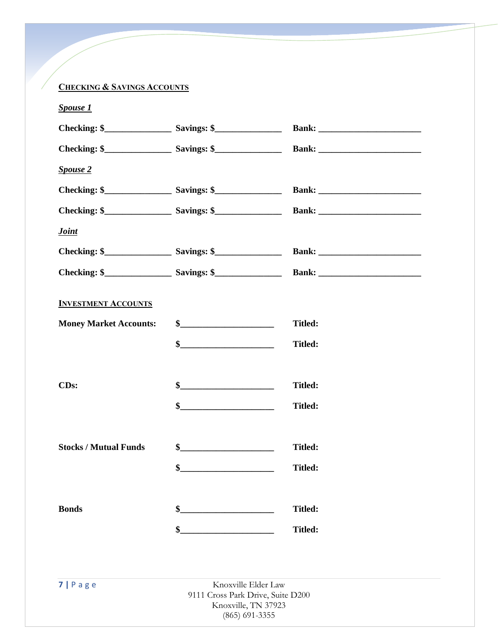# **CHECKING & SAVINGS ACCOUNTS**

| <b>Spouse 1</b>               |                                                          |                |
|-------------------------------|----------------------------------------------------------|----------------|
|                               |                                                          |                |
|                               |                                                          |                |
| <b>Spouse 2</b>               |                                                          |                |
|                               |                                                          |                |
|                               |                                                          |                |
| <b>Joint</b>                  |                                                          |                |
|                               |                                                          |                |
|                               |                                                          |                |
| <b>INVESTMENT ACCOUNTS</b>    |                                                          |                |
| <b>Money Market Accounts:</b> | \$                                                       | <b>Titled:</b> |
|                               |                                                          | <b>Titled:</b> |
|                               |                                                          |                |
| CD <sub>s</sub> :             |                                                          | <b>Titled:</b> |
|                               | \$                                                       | <b>Titled:</b> |
|                               |                                                          |                |
| <b>Stocks / Mutual Funds</b>  | $\sim$                                                   | <b>Titled:</b> |
|                               | \$                                                       | <b>Titled:</b> |
|                               |                                                          |                |
| <b>Bonds</b>                  |                                                          | <b>Titled:</b> |
|                               | \$                                                       | <b>Titled:</b> |
|                               |                                                          |                |
|                               |                                                          |                |
| $7   P \text{ age}$           | Knoxville Elder Law<br>9111 Cross Park Drive, Suite D200 |                |
|                               | Knoxville, TN 37923                                      |                |

(865) 691-3355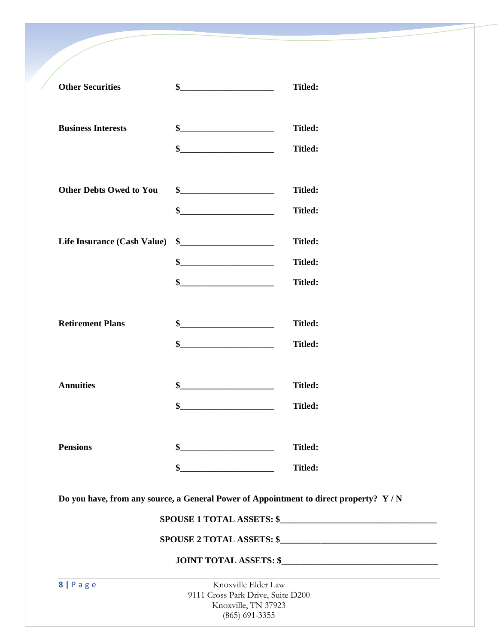| <b>Other Securities</b>        | \$                                                                                                                                                                                                                                                                                                                                                                                                      | <b>Titled:</b>                                                                       |
|--------------------------------|---------------------------------------------------------------------------------------------------------------------------------------------------------------------------------------------------------------------------------------------------------------------------------------------------------------------------------------------------------------------------------------------------------|--------------------------------------------------------------------------------------|
|                                |                                                                                                                                                                                                                                                                                                                                                                                                         |                                                                                      |
| <b>Business Interests</b>      | \$                                                                                                                                                                                                                                                                                                                                                                                                      | <b>Titled:</b>                                                                       |
|                                | \$                                                                                                                                                                                                                                                                                                                                                                                                      | <b>Titled:</b>                                                                       |
|                                |                                                                                                                                                                                                                                                                                                                                                                                                         |                                                                                      |
| <b>Other Debts Owed to You</b> |                                                                                                                                                                                                                                                                                                                                                                                                         | <b>Titled:</b>                                                                       |
|                                | \$                                                                                                                                                                                                                                                                                                                                                                                                      | <b>Titled:</b>                                                                       |
| Life Insurance (Cash Value)    | $\frac{\frac{1}{2} + \frac{1}{2} + \frac{1}{2} + \frac{1}{2} + \frac{1}{2} + \frac{1}{2} + \frac{1}{2} + \frac{1}{2} + \frac{1}{2} + \frac{1}{2} + \frac{1}{2} + \frac{1}{2} + \frac{1}{2} + \frac{1}{2} + \frac{1}{2} + \frac{1}{2} + \frac{1}{2} + \frac{1}{2} + \frac{1}{2} + \frac{1}{2} + \frac{1}{2} + \frac{1}{2} + \frac{1}{2} + \frac{1}{2} + \frac{1}{2} + \frac{1}{2} + \frac{1}{2} + \frac$ | <b>Titled:</b>                                                                       |
|                                | \$                                                                                                                                                                                                                                                                                                                                                                                                      | <b>Titled:</b>                                                                       |
|                                | $\frac{1}{2}$ $\frac{1}{2}$ $\frac{1}{2}$ $\frac{1}{2}$ $\frac{1}{2}$ $\frac{1}{2}$ $\frac{1}{2}$ $\frac{1}{2}$ $\frac{1}{2}$ $\frac{1}{2}$ $\frac{1}{2}$ $\frac{1}{2}$ $\frac{1}{2}$ $\frac{1}{2}$ $\frac{1}{2}$ $\frac{1}{2}$ $\frac{1}{2}$ $\frac{1}{2}$ $\frac{1}{2}$ $\frac{1}{2}$ $\frac{1}{2}$ $\frac{1}{2}$                                                                                     | <b>Titled:</b>                                                                       |
| <b>Retirement Plans</b>        |                                                                                                                                                                                                                                                                                                                                                                                                         | <b>Titled:</b>                                                                       |
|                                | \$                                                                                                                                                                                                                                                                                                                                                                                                      | <b>Titled:</b>                                                                       |
|                                |                                                                                                                                                                                                                                                                                                                                                                                                         |                                                                                      |
| <b>Annuities</b>               |                                                                                                                                                                                                                                                                                                                                                                                                         | <b>Titled:</b>                                                                       |
|                                | $\frac{1}{2}$ $\frac{1}{2}$ $\frac{1}{2}$ $\frac{1}{2}$ $\frac{1}{2}$ $\frac{1}{2}$ $\frac{1}{2}$ $\frac{1}{2}$ $\frac{1}{2}$ $\frac{1}{2}$ $\frac{1}{2}$ $\frac{1}{2}$ $\frac{1}{2}$ $\frac{1}{2}$ $\frac{1}{2}$ $\frac{1}{2}$ $\frac{1}{2}$ $\frac{1}{2}$ $\frac{1}{2}$ $\frac{1}{2}$ $\frac{1}{2}$ $\frac{1}{2}$                                                                                     | <b>Titled:</b>                                                                       |
| <b>Pensions</b>                | \$                                                                                                                                                                                                                                                                                                                                                                                                      | <b>Titled:</b>                                                                       |
|                                | \$                                                                                                                                                                                                                                                                                                                                                                                                      | <b>Titled:</b>                                                                       |
|                                |                                                                                                                                                                                                                                                                                                                                                                                                         | Do you have, from any source, a General Power of Appointment to direct property? Y/N |
|                                |                                                                                                                                                                                                                                                                                                                                                                                                         | SPOUSE 1 TOTAL ASSETS: \$                                                            |
|                                |                                                                                                                                                                                                                                                                                                                                                                                                         |                                                                                      |
|                                |                                                                                                                                                                                                                                                                                                                                                                                                         |                                                                                      |
| 8   Page                       | Knoxville Elder Law<br>9111 Cross Park Drive, Suite D200<br>Knoxville, TN 37923<br>$(865)$ 691-3355                                                                                                                                                                                                                                                                                                     |                                                                                      |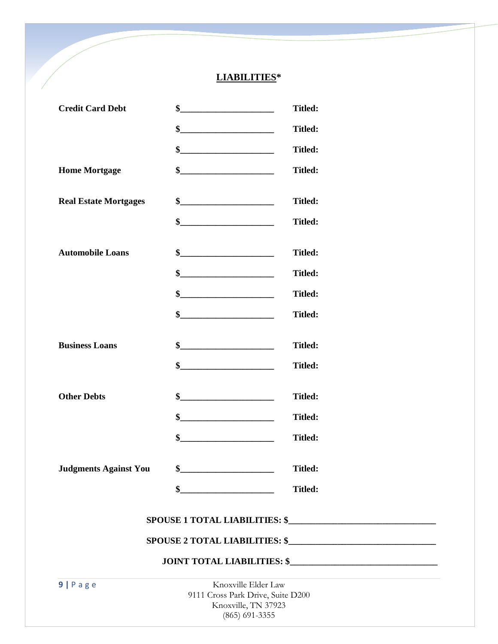# **LIABILITIES\***

| <b>Credit Card Debt</b>      | \$                                                                                                                                                                                                                                                                                                                                                                                                                       | <b>Titled:</b> |
|------------------------------|--------------------------------------------------------------------------------------------------------------------------------------------------------------------------------------------------------------------------------------------------------------------------------------------------------------------------------------------------------------------------------------------------------------------------|----------------|
|                              | $\begin{array}{c c c c c c} \hline \textbf{S} & \textbf{S} & \textbf{S} & \textbf{S} & \textbf{S} & \textbf{S} & \textbf{S} & \textbf{S} & \textbf{S} & \textbf{S} & \textbf{S} & \textbf{S} & \textbf{S} & \textbf{S} & \textbf{S} & \textbf{S} & \textbf{S} & \textbf{S} & \textbf{S} & \textbf{S} & \textbf{S} & \textbf{S} & \textbf{S} & \textbf{S} & \textbf{S} & \textbf{S} & \textbf{S} & \textbf{S} & \textbf{$ | Titled:        |
|                              |                                                                                                                                                                                                                                                                                                                                                                                                                          | <b>Titled:</b> |
| <b>Home Mortgage</b>         | \$                                                                                                                                                                                                                                                                                                                                                                                                                       | <b>Titled:</b> |
| <b>Real Estate Mortgages</b> |                                                                                                                                                                                                                                                                                                                                                                                                                          | <b>Titled:</b> |
|                              | \$                                                                                                                                                                                                                                                                                                                                                                                                                       | <b>Titled:</b> |
| <b>Automobile Loans</b>      | \$                                                                                                                                                                                                                                                                                                                                                                                                                       | <b>Titled:</b> |
|                              |                                                                                                                                                                                                                                                                                                                                                                                                                          | <b>Titled:</b> |
|                              | \$                                                                                                                                                                                                                                                                                                                                                                                                                       | <b>Titled:</b> |
|                              |                                                                                                                                                                                                                                                                                                                                                                                                                          | <b>Titled:</b> |
| <b>Business Loans</b>        |                                                                                                                                                                                                                                                                                                                                                                                                                          | <b>Titled:</b> |
|                              | \$                                                                                                                                                                                                                                                                                                                                                                                                                       | <b>Titled:</b> |
| <b>Other Debts</b>           | \$                                                                                                                                                                                                                                                                                                                                                                                                                       | <b>Titled:</b> |
|                              |                                                                                                                                                                                                                                                                                                                                                                                                                          | <b>Titled:</b> |
|                              | $\frac{1}{2}$                                                                                                                                                                                                                                                                                                                                                                                                            | <b>Titled:</b> |
| <b>Judgments Against You</b> | \$                                                                                                                                                                                                                                                                                                                                                                                                                       | Titled:        |
|                              | \$                                                                                                                                                                                                                                                                                                                                                                                                                       | <b>Titled:</b> |
|                              |                                                                                                                                                                                                                                                                                                                                                                                                                          |                |
|                              |                                                                                                                                                                                                                                                                                                                                                                                                                          |                |
|                              |                                                                                                                                                                                                                                                                                                                                                                                                                          |                |

**9** | **P** a g e Knoxville Elder Law 9111 Cross Park Drive, Suite D200 Knoxville, TN 37923 (865) 691-3355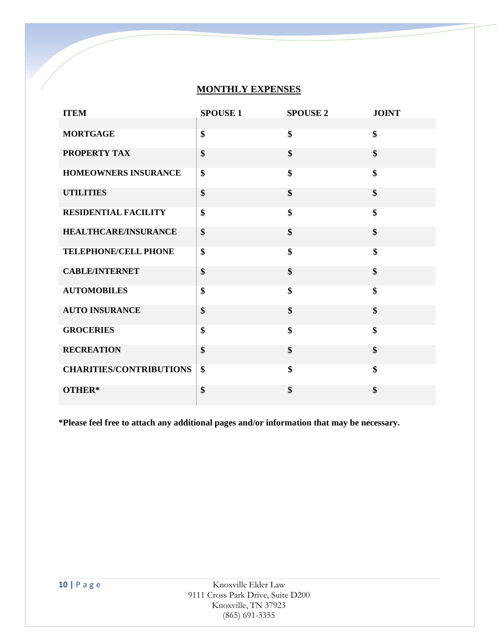### **MONTHLY EXPENSES**

| <b>ITEM</b>                    | <b>SPOUSE 1</b> | <b>SPOUSE 2</b> | <b>JOINT</b> |
|--------------------------------|-----------------|-----------------|--------------|
|                                |                 |                 |              |
| <b>MORTGAGE</b>                | \$              | \$              | \$           |
| PROPERTY TAX                   | \$              | \$              | \$           |
| HOMEOWNERS INSURANCE           | \$              | \$              | \$           |
| <b>UTILITIES</b>               | \$              | \$              | \$           |
| <b>RESIDENTIAL FACILITY</b>    | \$              | \$              | \$           |
| <b>HEALTHCARE/INSURANCE</b>    | \$              | \$              | \$           |
| TELEPHONE/CELL PHONE           | \$              | \$              | \$           |
| <b>CABLE/INTERNET</b>          | \$              | \$              | \$           |
| <b>AUTOMOBILES</b>             | \$              | \$              | \$           |
| <b>AUTO INSURANCE</b>          | \$              | \$              | \$           |
| <b>GROCERIES</b>               | \$              | \$              | \$           |
| <b>RECREATION</b>              | \$              | \$              | \$           |
| <b>CHARITIES/CONTRIBUTIONS</b> | \$              | \$              | \$           |
| OTHER*                         | \$              | \$              | \$           |

**\*Please feel free to attach any additional pages and/or information that may be necessary.**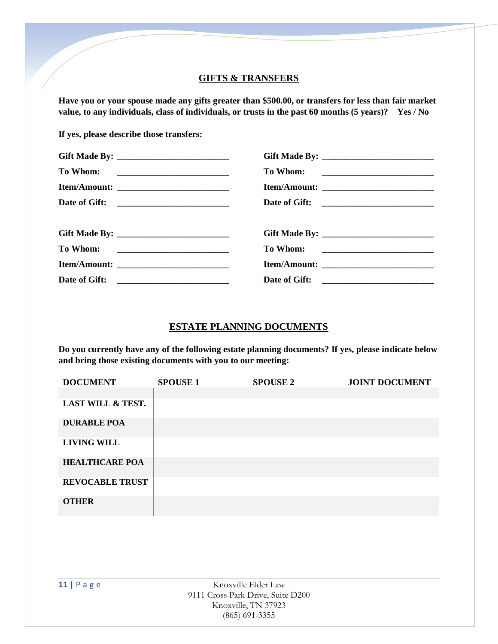### **GIFTS & TRANSFERS**

**Have you or your spouse made any gifts greater than \$500.00, or transfers for less than fair market value, to any individuals, class of individuals, or trusts in the past 60 months (5 years)? Yes / No**

**If yes, please describe those transfers:**

| Date of Gift: |  |
|---------------|--|

# **ESTATE PLANNING DOCUMENTS**

**Do you currently have any of the following estate planning documents? If yes, please indicate below and bring those existing documents with you to our meeting:**

| <b>DOCUMENT</b>        | <b>SPOUSE 1</b> | <b>SPOUSE 2</b> | <b>JOINT DOCUMENT</b> |
|------------------------|-----------------|-----------------|-----------------------|
|                        |                 |                 |                       |
| LAST WILL & TEST.      |                 |                 |                       |
| <b>DURABLE POA</b>     |                 |                 |                       |
| <b>LIVING WILL</b>     |                 |                 |                       |
| <b>HEALTHCARE POA</b>  |                 |                 |                       |
| <b>REVOCABLE TRUST</b> |                 |                 |                       |
| <b>OTHER</b>           |                 |                 |                       |
|                        |                 |                 |                       |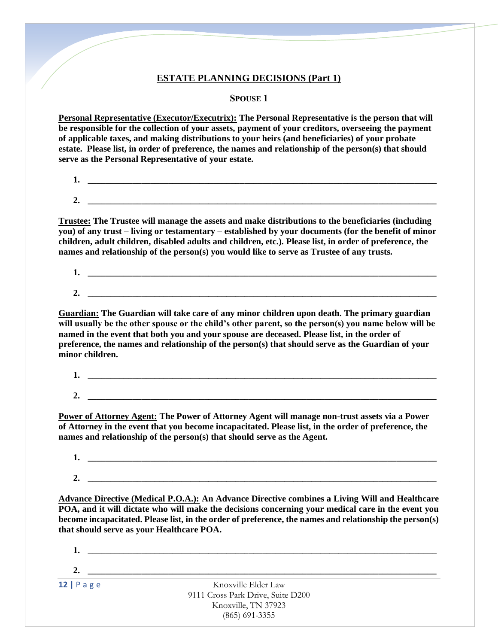### **ESTATE PLANNING DECISIONS (Part 1)**

**SPOUSE 1**

**Personal Representative (Executor/Executrix): The Personal Representative is the person that will be responsible for the collection of your assets, payment of your creditors, overseeing the payment of applicable taxes, and making distributions to your heirs (and beneficiaries) of your probate estate. Please list, in order of preference, the names and relationship of the person(s) that should serve as the Personal Representative of your estate.**

**1. \_\_\_\_\_\_\_\_\_\_\_\_\_\_\_\_\_\_\_\_\_\_\_\_\_\_\_\_\_\_\_\_\_\_\_\_\_\_\_\_\_\_\_\_\_\_\_\_\_\_\_\_\_\_\_\_\_\_\_\_\_\_\_\_\_\_\_\_\_\_\_\_\_\_\_\_\_\_**

**2. \_\_\_\_\_\_\_\_\_\_\_\_\_\_\_\_\_\_\_\_\_\_\_\_\_\_\_\_\_\_\_\_\_\_\_\_\_\_\_\_\_\_\_\_\_\_\_\_\_\_\_\_\_\_\_\_\_\_\_\_\_\_\_\_\_\_\_\_\_\_\_\_\_\_\_\_\_\_**

**Trustee: The Trustee will manage the assets and make distributions to the beneficiaries (including you) of any trust – living or testamentary – established by your documents (for the benefit of minor children, adult children, disabled adults and children, etc.). Please list, in order of preference, the names and relationship of the person(s) you would like to serve as Trustee of any trusts.**

**1. \_\_\_\_\_\_\_\_\_\_\_\_\_\_\_\_\_\_\_\_\_\_\_\_\_\_\_\_\_\_\_\_\_\_\_\_\_\_\_\_\_\_\_\_\_\_\_\_\_\_\_\_\_\_\_\_\_\_\_\_\_\_\_\_\_\_\_\_\_\_\_\_\_\_\_\_\_\_**

**2. \_\_\_\_\_\_\_\_\_\_\_\_\_\_\_\_\_\_\_\_\_\_\_\_\_\_\_\_\_\_\_\_\_\_\_\_\_\_\_\_\_\_\_\_\_\_\_\_\_\_\_\_\_\_\_\_\_\_\_\_\_\_\_\_\_\_\_\_\_\_\_\_\_\_\_\_\_\_**

**Guardian: The Guardian will take care of any minor children upon death. The primary guardian will usually be the other spouse or the child's other parent, so the person(s) you name below will be named in the event that both you and your spouse are deceased. Please list, in the order of preference, the names and relationship of the person(s) that should serve as the Guardian of your minor children.**

**1. \_\_\_\_\_\_\_\_\_\_\_\_\_\_\_\_\_\_\_\_\_\_\_\_\_\_\_\_\_\_\_\_\_\_\_\_\_\_\_\_\_\_\_\_\_\_\_\_\_\_\_\_\_\_\_\_\_\_\_\_\_\_\_\_\_\_\_\_\_\_\_\_\_\_\_\_\_\_ 2. \_\_\_\_\_\_\_\_\_\_\_\_\_\_\_\_\_\_\_\_\_\_\_\_\_\_\_\_\_\_\_\_\_\_\_\_\_\_\_\_\_\_\_\_\_\_\_\_\_\_\_\_\_\_\_\_\_\_\_\_\_\_\_\_\_\_\_\_\_\_\_\_\_\_\_\_\_\_**

**Power of Attorney Agent: The Power of Attorney Agent will manage non-trust assets via a Power of Attorney in the event that you become incapacitated. Please list, in the order of preference, the names and relationship of the person(s) that should serve as the Agent.** 

**1. \_\_\_\_\_\_\_\_\_\_\_\_\_\_\_\_\_\_\_\_\_\_\_\_\_\_\_\_\_\_\_\_\_\_\_\_\_\_\_\_\_\_\_\_\_\_\_\_\_\_\_\_\_\_\_\_\_\_\_\_\_\_\_\_\_\_\_\_\_\_\_\_\_\_\_\_\_\_ 2. \_\_\_\_\_\_\_\_\_\_\_\_\_\_\_\_\_\_\_\_\_\_\_\_\_\_\_\_\_\_\_\_\_\_\_\_\_\_\_\_\_\_\_\_\_\_\_\_\_\_\_\_\_\_\_\_\_\_\_\_\_\_\_\_\_\_\_\_\_\_\_\_\_\_\_\_\_\_**

**Advance Directive (Medical P.O.A.): An Advance Directive combines a Living Will and Healthcare POA, and it will dictate who will make the decisions concerning your medical care in the event you become incapacitated. Please list, in the order of preference, the names and relationship the person(s) that should serve as your Healthcare POA.**

**12** | **P** a g e Knoxville Elder Law 9111 Cross Park Drive, Suite D200 Knoxville, TN 37923 (865) 691-3355 **1. \_\_\_\_\_\_\_\_\_\_\_\_\_\_\_\_\_\_\_\_\_\_\_\_\_\_\_\_\_\_\_\_\_\_\_\_\_\_\_\_\_\_\_\_\_\_\_\_\_\_\_\_\_\_\_\_\_\_\_\_\_\_\_\_\_\_\_\_\_\_\_\_\_\_\_\_\_\_ 2. \_\_\_\_\_\_\_\_\_\_\_\_\_\_\_\_\_\_\_\_\_\_\_\_\_\_\_\_\_\_\_\_\_\_\_\_\_\_\_\_\_\_\_\_\_\_\_\_\_\_\_\_\_\_\_\_\_\_\_\_\_\_\_\_\_\_\_\_\_\_\_\_\_\_\_\_\_\_**